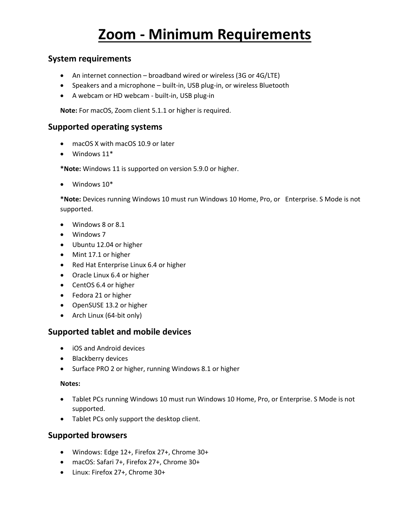# **Zoom - Minimum Requirements**

### **System requirements**

- An internet connection broadband wired or wireless (3G or 4G/LTE)
- Speakers and a microphone built-in, USB plug-in, or wireless Bluetooth
- A webcam or HD webcam built-in, USB plug-in

**Note:** For macOS, Zoom client 5.1.1 or higher is required.

#### **Supported operating systems**

- macOS X with macOS 10.9 or later
- Windows 11\*

**\*Note:** Windows 11 is supported on version 5.9.0 or higher.

• Windows 10\*

**\*Note:** Devices running Windows 10 must run Windows 10 Home, Pro, or Enterprise. S Mode is not supported.

- Windows 8 or 8.1
- Windows 7
- Ubuntu 12.04 or higher
- Mint 17.1 or higher
- Red Hat Enterprise Linux 6.4 or higher
- Oracle Linux 6.4 or higher
- CentOS 6.4 or higher
- Fedora 21 or higher
- OpenSUSE 13.2 or higher
- Arch Linux (64-bit only)

#### **Supported tablet and mobile devices**

- iOS and Android devices
- Blackberry devices
- Surface PRO 2 or higher, running Windows 8.1 or higher

#### **Notes:**

- Tablet PCs running Windows 10 must run Windows 10 Home, Pro, or Enterprise. S Mode is not supported.
- Tablet PCs only support the desktop client.

#### **Supported browsers**

- Windows: Edge 12+, Firefox 27+, Chrome 30+
- macOS: Safari 7+, Firefox 27+, Chrome 30+
- Linux: Firefox 27+, Chrome 30+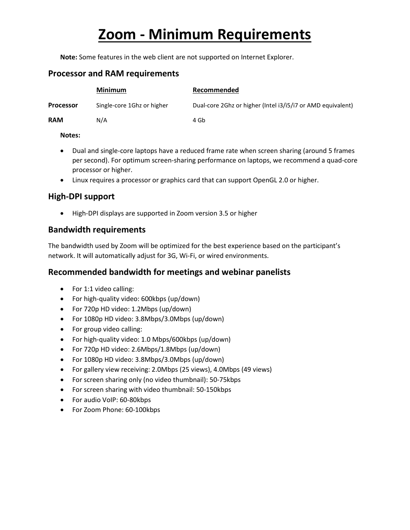# **Zoom - Minimum Requirements**

**Note:** Some features in the web client are not supported on Internet Explorer.

## **Processor and RAM requirements**

|                  | <b>Minimum</b>             | Recommended                                                 |
|------------------|----------------------------|-------------------------------------------------------------|
| <b>Processor</b> | Single-core 1Ghz or higher | Dual-core 2Ghz or higher (Intel i3/i5/i7 or AMD equivalent) |
| <b>RAM</b>       | N/A                        | 4 Gb                                                        |

#### **Notes:**

- Dual and single-core laptops have a reduced frame rate when screen sharing (around 5 frames per second). For optimum screen-sharing performance on laptops, we recommend a quad-core processor or higher.
- Linux requires a processor or graphics card that can support OpenGL 2.0 or higher.

### **High-DPI support**

• High-DPI displays are supported in Zoom version 3.5 or higher

### **Bandwidth requirements**

The bandwidth used by Zoom will be optimized for the best experience based on the participant's network. It will automatically adjust for 3G, Wi-Fi, or wired environments.

## **Recommended bandwidth for meetings and webinar panelists**

- For 1:1 video calling:
- For high-quality video: 600kbps (up/down)
- For 720p HD video: 1.2Mbps (up/down)
- For 1080p HD video: 3.8Mbps/3.0Mbps (up/down)
- For group video calling:
- For high-quality video: 1.0 Mbps/600kbps (up/down)
- For 720p HD video: 2.6Mbps/1.8Mbps (up/down)
- For 1080p HD video: 3.8Mbps/3.0Mbps (up/down)
- For gallery view receiving: 2.0Mbps (25 views), 4.0Mbps (49 views)
- For screen sharing only (no video thumbnail): 50-75kbps
- For screen sharing with video thumbnail: 50-150kbps
- For audio VoIP: 60-80kbps
- For Zoom Phone: 60-100kbps